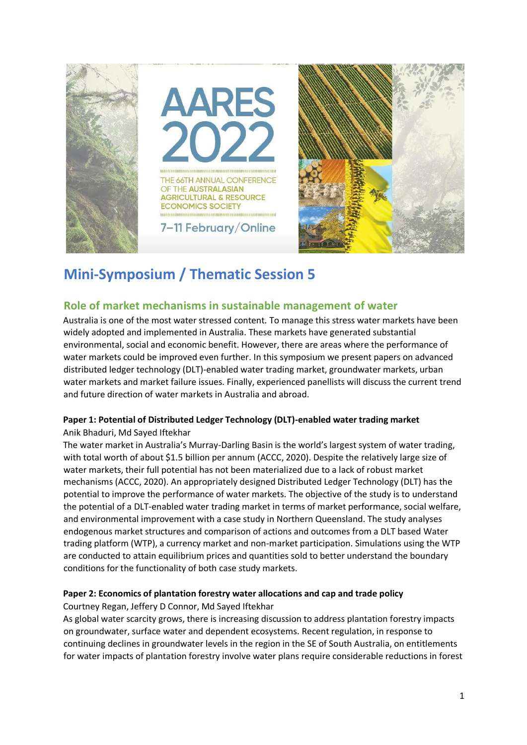

# **Mini-Symposium / Thematic Session 5**

## **Role of market mechanisms in sustainable management of water**

Australia is one of the most water stressed content. To manage this stress water markets have been widely adopted and implemented in Australia. These markets have generated substantial environmental, social and economic benefit. However, there are areas where the performance of water markets could be improved even further. In this symposium we present papers on advanced distributed ledger technology (DLT)-enabled water trading market, groundwater markets, urban water markets and market failure issues. Finally, experienced panellists will discuss the current trend and future direction of water markets in Australia and abroad.

## **Paper 1: Potential of Distributed Ledger Technology (DLT)-enabled water trading market**

#### Anik Bhaduri, Md Sayed Iftekhar

The water market in Australia's Murray-Darling Basin is the world's largest system of water trading, with total worth of about \$1.5 billion per annum (ACCC, 2020). Despite the relatively large size of water markets, their full potential has not been materialized due to a lack of robust market mechanisms (ACCC, 2020). An appropriately designed Distributed Ledger Technology (DLT) has the potential to improve the performance of water markets. The objective of the study is to understand the potential of a DLT-enabled water trading market in terms of market performance, social welfare, and environmental improvement with a case study in Northern Queensland. The study analyses endogenous market structures and comparison of actions and outcomes from a DLT based Water trading platform (WTP), a currency market and non-market participation. Simulations using the WTP are conducted to attain equilibrium prices and quantities sold to better understand the boundary conditions for the functionality of both case study markets.

#### **Paper 2: Economics of plantation forestry water allocations and cap and trade policy**

Courtney Regan, Jeffery D Connor, Md Sayed Iftekhar

As global water scarcity grows, there is increasing discussion to address plantation forestry impacts on groundwater, surface water and dependent ecosystems. Recent regulation, in response to continuing declines in groundwater levels in the region in the SE of South Australia, on entitlements for water impacts of plantation forestry involve water plans require considerable reductions in forest